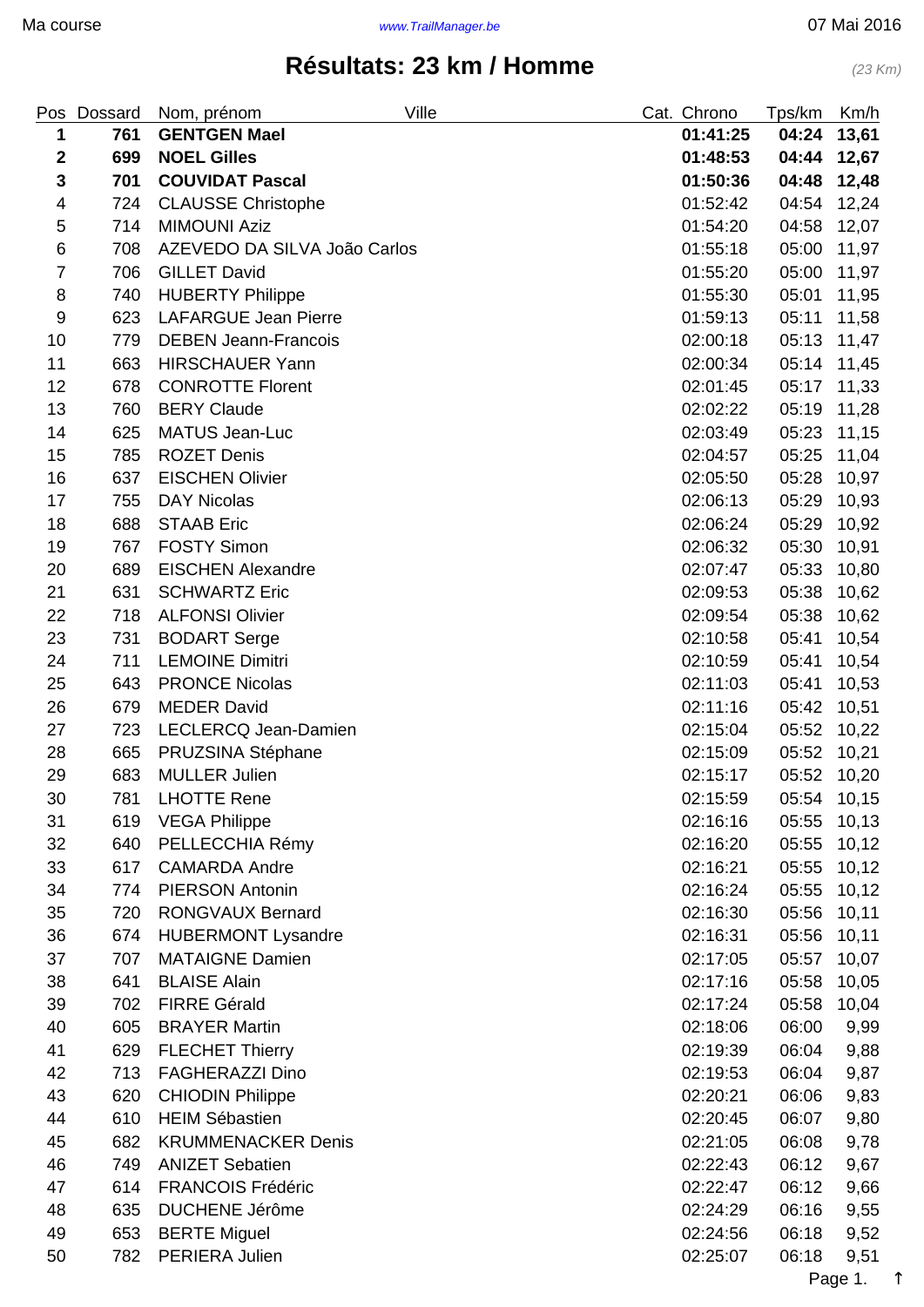<span id="page-0-0"></span>

|                  | Pos Dossard | Ville<br>Nom, prénom         | Cat. Chrono | Tps/km | Km/h        |
|------------------|-------------|------------------------------|-------------|--------|-------------|
| 1                | 761         | <b>GENTGEN Mael</b>          | 01:41:25    | 04:24  | 13,61       |
| $\boldsymbol{2}$ | 699         | <b>NOEL Gilles</b>           | 01:48:53    | 04:44  | 12,67       |
| $\mathbf{3}$     | 701         | <b>COUVIDAT Pascal</b>       | 01:50:36    | 04:48  | 12,48       |
| 4                | 724         | <b>CLAUSSE Christophe</b>    | 01:52:42    | 04:54  | 12,24       |
| 5                | 714         | <b>MIMOUNI Aziz</b>          | 01:54:20    | 04:58  | 12,07       |
| 6                | 708         | AZEVEDO DA SILVA João Carlos | 01:55:18    | 05:00  | 11,97       |
| $\boldsymbol{7}$ | 706         | <b>GILLET David</b>          | 01:55:20    | 05:00  | 11,97       |
| 8                | 740         | <b>HUBERTY Philippe</b>      | 01:55:30    | 05:01  | 11,95       |
| $\boldsymbol{9}$ | 623         | <b>LAFARGUE Jean Pierre</b>  | 01:59:13    | 05:11  | 11,58       |
| 10               | 779         | <b>DEBEN Jeann-Francois</b>  | 02:00:18    | 05:13  | 11,47       |
| 11               | 663         | <b>HIRSCHAUER Yann</b>       | 02:00:34    | 05:14  | 11,45       |
| 12               | 678         | <b>CONROTTE Florent</b>      | 02:01:45    | 05:17  | 11,33       |
| 13               | 760         | <b>BERY Claude</b>           | 02:02:22    | 05:19  | 11,28       |
| 14               | 625         | <b>MATUS Jean-Luc</b>        | 02:03:49    | 05:23  | 11,15       |
| 15               | 785         | <b>ROZET Denis</b>           | 02:04:57    | 05:25  | 11,04       |
| 16               | 637         | <b>EISCHEN Olivier</b>       | 02:05:50    | 05:28  | 10,97       |
| 17               | 755         | <b>DAY Nicolas</b>           | 02:06:13    | 05:29  | 10,93       |
| 18               | 688         | <b>STAAB Eric</b>            | 02:06:24    | 05:29  | 10,92       |
| 19               | 767         | <b>FOSTY Simon</b>           | 02:06:32    | 05:30  | 10,91       |
| 20               | 689         | <b>EISCHEN Alexandre</b>     | 02:07:47    | 05:33  | 10,80       |
| 21               | 631         | <b>SCHWARTZ Eric</b>         | 02:09:53    | 05:38  | 10,62       |
| 22               | 718         | <b>ALFONSI Olivier</b>       | 02:09:54    | 05:38  | 10,62       |
| 23               | 731         | <b>BODART Serge</b>          | 02:10:58    | 05:41  | 10,54       |
| 24               | 711         | <b>LEMOINE Dimitri</b>       | 02:10:59    | 05:41  | 10,54       |
| 25               | 643         | <b>PRONCE Nicolas</b>        | 02:11:03    | 05:41  | 10,53       |
| 26               | 679         | <b>MEDER David</b>           | 02:11:16    | 05:42  | 10,51       |
| 27               | 723         | LECLERCQ Jean-Damien         | 02:15:04    | 05:52  | 10,22       |
| 28               | 665         | PRUZSINA Stéphane            | 02:15:09    | 05:52  | 10,21       |
| 29               | 683         | <b>MULLER Julien</b>         | 02:15:17    |        | 05:52 10,20 |
| 30               | 781         | <b>LHOTTE Rene</b>           | 02:15:59    | 05:54  | 10,15       |
| 31               | 619         | <b>VEGA Philippe</b>         | 02:16:16    | 05:55  | 10, 13      |
| 32               | 640         | PELLECCHIA Rémy              | 02:16:20    | 05:55  | 10,12       |
| 33               | 617         | <b>CAMARDA Andre</b>         | 02:16:21    | 05:55  | 10,12       |
| 34               | 774         | <b>PIERSON Antonin</b>       | 02:16:24    | 05:55  | 10,12       |
| 35               | 720         | <b>RONGVAUX Bernard</b>      | 02:16:30    | 05:56  | 10,11       |
| 36               | 674         | <b>HUBERMONT Lysandre</b>    | 02:16:31    | 05:56  | 10,11       |
| 37               | 707         | <b>MATAIGNE Damien</b>       | 02:17:05    | 05:57  | 10,07       |
| 38               | 641         | <b>BLAISE Alain</b>          | 02:17:16    | 05:58  | 10,05       |
| 39               | 702         | <b>FIRRE Gérald</b>          | 02:17:24    | 05:58  | 10,04       |
| 40               | 605         | <b>BRAYER Martin</b>         | 02:18:06    | 06:00  | 9,99        |
| 41               | 629         | <b>FLECHET Thierry</b>       | 02:19:39    | 06:04  | 9,88        |
| 42               | 713         | <b>FAGHERAZZI Dino</b>       | 02:19:53    | 06:04  | 9,87        |
| 43               | 620         | <b>CHIODIN Philippe</b>      | 02:20:21    | 06:06  | 9,83        |
| 44               | 610         | <b>HEIM Sébastien</b>        | 02:20:45    | 06:07  | 9,80        |
| 45               | 682         | <b>KRUMMENACKER Denis</b>    | 02:21:05    | 06:08  | 9,78        |
| 46               | 749         | <b>ANIZET Sebatien</b>       | 02:22:43    | 06:12  | 9,67        |
| 47               | 614         | <b>FRANCOIS Frédéric</b>     | 02:22:47    | 06:12  | 9,66        |
| 48               | 635         | <b>DUCHENE Jérôme</b>        | 02:24:29    | 06:16  | 9,55        |
| 49               | 653         | <b>BERTE Miguel</b>          | 02:24:56    | 06:18  | 9,52        |
| 50               | 782         | PERIERA Julien               | 02:25:07    | 06:18  | 9,51        |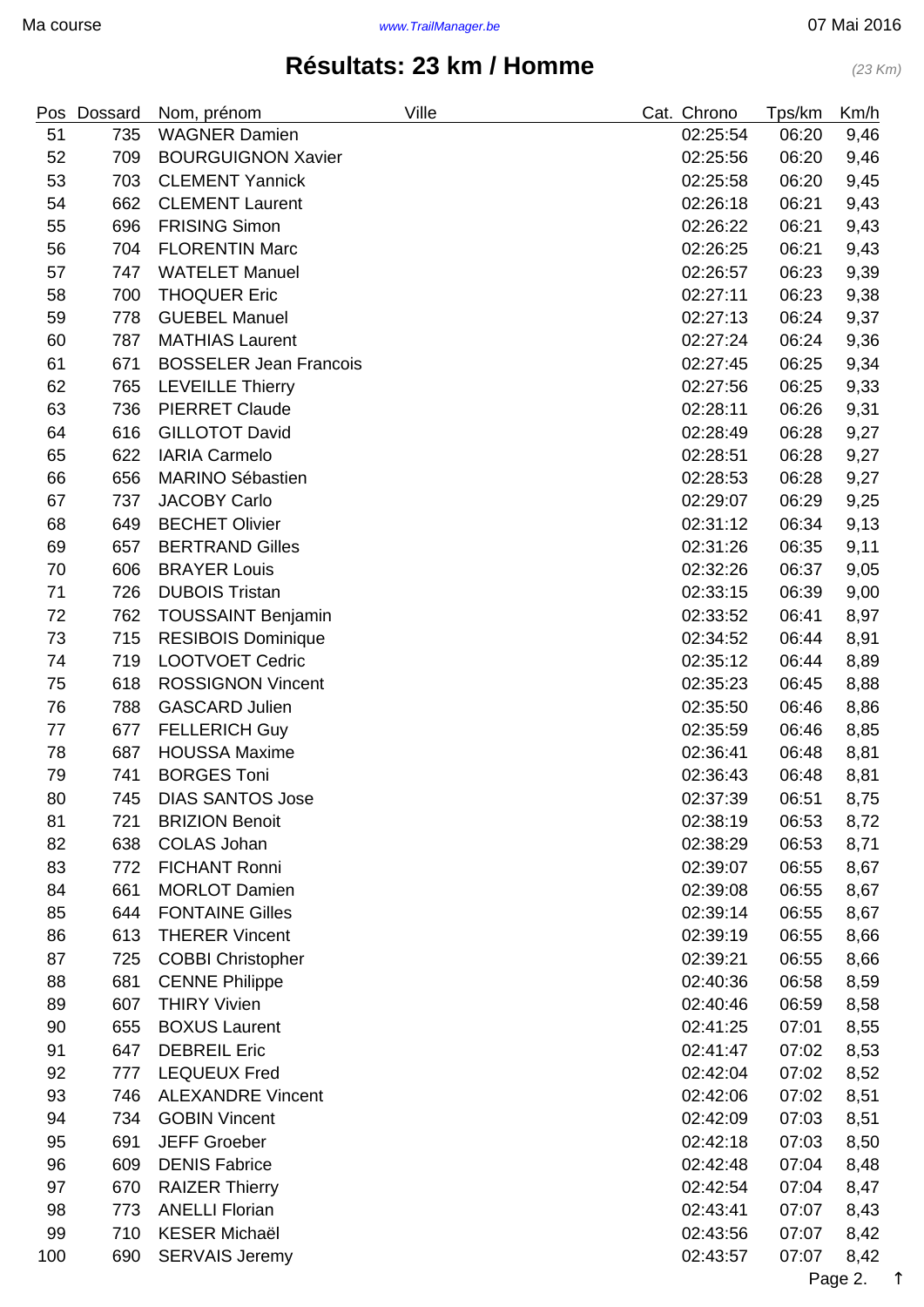|     | Pos Dossard | Nom, prénom                   | Ville | Cat. Chrono | Tps/km | Km/h |
|-----|-------------|-------------------------------|-------|-------------|--------|------|
| 51  | 735         | <b>WAGNER Damien</b>          |       | 02:25:54    | 06:20  | 9,46 |
| 52  | 709         | <b>BOURGUIGNON Xavier</b>     |       | 02:25:56    | 06:20  | 9,46 |
| 53  | 703         | <b>CLEMENT Yannick</b>        |       | 02:25:58    | 06:20  | 9,45 |
| 54  | 662         | <b>CLEMENT Laurent</b>        |       | 02:26:18    | 06:21  | 9,43 |
| 55  | 696         | <b>FRISING Simon</b>          |       | 02:26:22    | 06:21  | 9,43 |
| 56  | 704         | <b>FLORENTIN Marc</b>         |       | 02:26:25    | 06:21  | 9,43 |
| 57  | 747         | <b>WATELET Manuel</b>         |       | 02:26:57    | 06:23  | 9,39 |
| 58  | 700         | <b>THOQUER Eric</b>           |       | 02:27:11    | 06:23  | 9,38 |
| 59  | 778         | <b>GUEBEL Manuel</b>          |       | 02:27:13    | 06:24  | 9,37 |
| 60  | 787         | <b>MATHIAS Laurent</b>        |       | 02:27:24    | 06:24  | 9,36 |
| 61  | 671         | <b>BOSSELER Jean Francois</b> |       | 02:27:45    | 06:25  | 9,34 |
| 62  | 765         | <b>LEVEILLE Thierry</b>       |       | 02:27:56    | 06:25  | 9,33 |
| 63  | 736         | <b>PIERRET Claude</b>         |       | 02:28:11    | 06:26  | 9,31 |
| 64  | 616         | <b>GILLOTOT David</b>         |       | 02:28:49    | 06:28  | 9,27 |
| 65  | 622         | <b>IARIA Carmelo</b>          |       | 02:28:51    | 06:28  | 9,27 |
| 66  | 656         | <b>MARINO Sébastien</b>       |       | 02:28:53    | 06:28  | 9,27 |
| 67  | 737         | <b>JACOBY Carlo</b>           |       | 02:29:07    | 06:29  | 9,25 |
| 68  | 649         | <b>BECHET Olivier</b>         |       | 02:31:12    | 06:34  | 9,13 |
| 69  | 657         | <b>BERTRAND Gilles</b>        |       | 02:31:26    | 06:35  | 9,11 |
| 70  | 606         | <b>BRAYER Louis</b>           |       | 02:32:26    | 06:37  | 9,05 |
| 71  | 726         | <b>DUBOIS Tristan</b>         |       | 02:33:15    | 06:39  | 9,00 |
| 72  | 762         | <b>TOUSSAINT Benjamin</b>     |       | 02:33:52    | 06:41  | 8,97 |
| 73  | 715         | <b>RESIBOIS Dominique</b>     |       | 02:34:52    | 06:44  | 8,91 |
| 74  | 719         | <b>LOOTVOET Cedric</b>        |       | 02:35:12    | 06:44  | 8,89 |
| 75  | 618         | <b>ROSSIGNON Vincent</b>      |       | 02:35:23    | 06:45  | 8,88 |
| 76  | 788         | <b>GASCARD Julien</b>         |       | 02:35:50    | 06:46  | 8,86 |
| 77  | 677         | <b>FELLERICH Guy</b>          |       | 02:35:59    | 06:46  | 8,85 |
| 78  | 687         | <b>HOUSSA Maxime</b>          |       | 02:36:41    | 06:48  | 8,81 |
| 79  | 741         | <b>BORGES Toni</b>            |       | 02:36:43    | 06:48  | 8,81 |
| 80  | 745         | <b>DIAS SANTOS Jose</b>       |       | 02:37:39    | 06:51  | 8,75 |
| 81  | 721         | <b>BRIZION Benoit</b>         |       | 02:38:19    | 06:53  | 8,72 |
| 82  | 638         | <b>COLAS Johan</b>            |       | 02:38:29    | 06:53  | 8,71 |
| 83  | 772         | <b>FICHANT Ronni</b>          |       | 02:39:07    | 06:55  | 8,67 |
| 84  | 661         | <b>MORLOT Damien</b>          |       | 02:39:08    | 06:55  | 8,67 |
| 85  | 644         | <b>FONTAINE Gilles</b>        |       | 02:39:14    | 06:55  | 8,67 |
| 86  | 613         | <b>THERER Vincent</b>         |       | 02:39:19    | 06:55  | 8,66 |
| 87  | 725         | <b>COBBI Christopher</b>      |       | 02:39:21    | 06:55  | 8,66 |
| 88  | 681         | <b>CENNE Philippe</b>         |       | 02:40:36    | 06:58  | 8,59 |
| 89  | 607         | <b>THIRY Vivien</b>           |       | 02:40:46    | 06:59  | 8,58 |
| 90  | 655         | <b>BOXUS Laurent</b>          |       | 02:41:25    | 07:01  | 8,55 |
| 91  | 647         | <b>DEBREIL Eric</b>           |       | 02:41:47    | 07:02  | 8,53 |
| 92  | 777         | <b>LEQUEUX Fred</b>           |       | 02:42:04    | 07:02  | 8,52 |
| 93  | 746         | <b>ALEXANDRE Vincent</b>      |       | 02:42:06    | 07:02  | 8,51 |
| 94  | 734         | <b>GOBIN Vincent</b>          |       | 02:42:09    | 07:03  | 8,51 |
| 95  | 691         | <b>JEFF Groeber</b>           |       | 02:42:18    | 07:03  | 8,50 |
| 96  | 609         | <b>DENIS Fabrice</b>          |       | 02:42:48    | 07:04  | 8,48 |
| 97  | 670         | <b>RAIZER Thierry</b>         |       | 02:42:54    | 07:04  | 8,47 |
| 98  | 773         | <b>ANELLI Florian</b>         |       | 02:43:41    | 07:07  | 8,43 |
| 99  | 710         | <b>KESER Michaël</b>          |       | 02:43:56    | 07:07  | 8,42 |
| 100 | 690         | <b>SERVAIS Jeremy</b>         |       | 02:43:57    | 07:07  | 8,42 |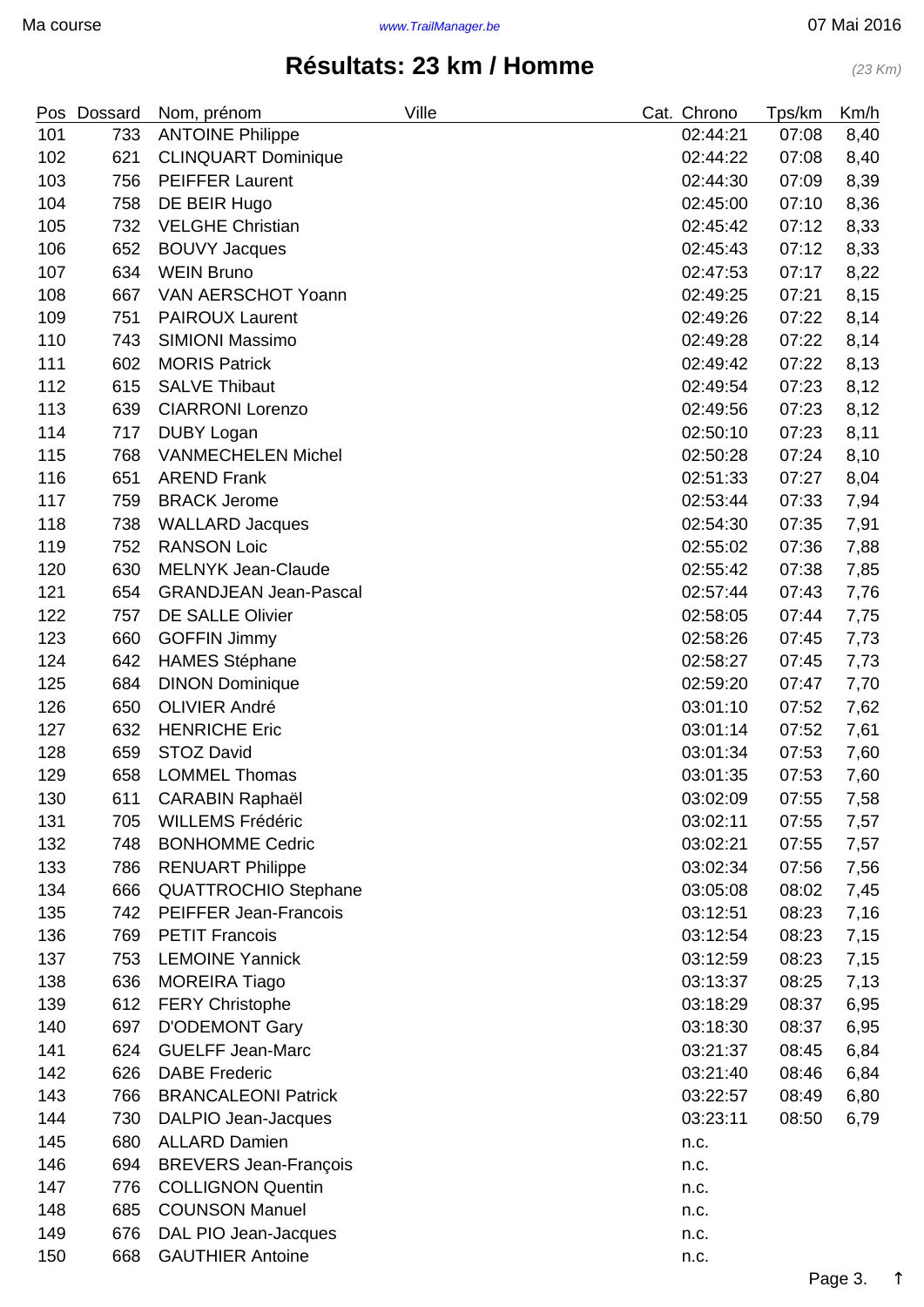|     | Pos Dossard | Nom, prénom                  | Ville | Cat. Chrono | Tps/km | Km/h |
|-----|-------------|------------------------------|-------|-------------|--------|------|
| 101 | 733         | <b>ANTOINE Philippe</b>      |       | 02:44:21    | 07:08  | 8,40 |
| 102 | 621         | <b>CLINQUART Dominique</b>   |       | 02:44:22    | 07:08  | 8,40 |
| 103 | 756         | <b>PEIFFER Laurent</b>       |       | 02:44:30    | 07:09  | 8,39 |
| 104 | 758         | DE BEIR Hugo                 |       | 02:45:00    | 07:10  | 8,36 |
| 105 | 732         | <b>VELGHE Christian</b>      |       | 02:45:42    | 07:12  | 8,33 |
| 106 | 652         | <b>BOUVY Jacques</b>         |       | 02:45:43    | 07:12  | 8,33 |
| 107 | 634         | <b>WEIN Bruno</b>            |       | 02:47:53    | 07:17  | 8,22 |
| 108 | 667         | VAN AERSCHOT Yoann           |       | 02:49:25    | 07:21  | 8,15 |
| 109 | 751         | <b>PAIROUX Laurent</b>       |       | 02:49:26    | 07:22  | 8,14 |
| 110 | 743         | <b>SIMIONI Massimo</b>       |       | 02:49:28    | 07:22  | 8,14 |
| 111 | 602         | <b>MORIS Patrick</b>         |       | 02:49:42    | 07:22  | 8,13 |
| 112 | 615         | <b>SALVE Thibaut</b>         |       | 02:49:54    | 07:23  | 8,12 |
| 113 | 639         | <b>CIARRONI Lorenzo</b>      |       | 02:49:56    | 07:23  | 8,12 |
| 114 | 717         | <b>DUBY Logan</b>            |       | 02:50:10    | 07:23  | 8,11 |
| 115 | 768         | <b>VANMECHELEN Michel</b>    |       | 02:50:28    | 07:24  | 8,10 |
| 116 | 651         | <b>AREND Frank</b>           |       | 02:51:33    | 07:27  | 8,04 |
| 117 | 759         | <b>BRACK Jerome</b>          |       | 02:53:44    | 07:33  | 7,94 |
| 118 | 738         | <b>WALLARD Jacques</b>       |       | 02:54:30    | 07:35  | 7,91 |
| 119 | 752         | <b>RANSON Loic</b>           |       | 02:55:02    | 07:36  | 7,88 |
| 120 | 630         | <b>MELNYK Jean-Claude</b>    |       | 02:55:42    | 07:38  | 7,85 |
| 121 | 654         | <b>GRANDJEAN Jean-Pascal</b> |       | 02:57:44    | 07:43  | 7,76 |
| 122 | 757         | <b>DE SALLE Olivier</b>      |       | 02:58:05    | 07:44  | 7,75 |
| 123 | 660         | <b>GOFFIN Jimmy</b>          |       | 02:58:26    | 07:45  | 7,73 |
| 124 | 642         | <b>HAMES Stéphane</b>        |       | 02:58:27    | 07:45  | 7,73 |
| 125 | 684         | <b>DINON Dominique</b>       |       | 02:59:20    | 07:47  | 7,70 |
| 126 | 650         | <b>OLIVIER André</b>         |       | 03:01:10    | 07:52  | 7,62 |
| 127 | 632         | <b>HENRICHE Eric</b>         |       | 03:01:14    | 07:52  | 7,61 |
| 128 | 659         | <b>STOZ David</b>            |       | 03:01:34    | 07:53  | 7,60 |
| 129 | 658         | <b>LOMMEL Thomas</b>         |       | 03:01:35    | 07:53  | 7,60 |
| 130 | 611         | <b>CARABIN Raphaël</b>       |       | 03:02:09    | 07:55  | 7,58 |
| 131 | 705         | <b>WILLEMS Frédéric</b>      |       | 03:02:11    | 07:55  | 7,57 |
| 132 | 748         | <b>BONHOMME Cedric</b>       |       | 03:02:21    | 07:55  | 7,57 |
| 133 | 786         | <b>RENUART Philippe</b>      |       | 03:02:34    | 07:56  | 7,56 |
| 134 | 666         | <b>QUATTROCHIO Stephane</b>  |       | 03:05:08    | 08:02  | 7,45 |
| 135 | 742         | <b>PEIFFER Jean-Francois</b> |       | 03:12:51    | 08:23  | 7,16 |
| 136 | 769         | <b>PETIT Francois</b>        |       | 03:12:54    | 08:23  | 7,15 |
| 137 | 753         | <b>LEMOINE Yannick</b>       |       | 03:12:59    | 08:23  | 7,15 |
| 138 | 636         | <b>MOREIRA Tiago</b>         |       | 03:13:37    | 08:25  | 7,13 |
| 139 | 612         | <b>FERY Christophe</b>       |       | 03:18:29    | 08:37  | 6,95 |
| 140 | 697         | <b>D'ODEMONT Gary</b>        |       | 03:18:30    | 08:37  | 6,95 |
| 141 | 624         | <b>GUELFF Jean-Marc</b>      |       | 03:21:37    | 08:45  | 6,84 |
| 142 | 626         | <b>DABE</b> Frederic         |       | 03:21:40    | 08:46  | 6,84 |
| 143 | 766         | <b>BRANCALEONI Patrick</b>   |       | 03:22:57    | 08:49  | 6,80 |
| 144 | 730         | DALPIO Jean-Jacques          |       | 03:23:11    | 08:50  | 6,79 |
| 145 | 680         | <b>ALLARD Damien</b>         |       | n.c.        |        |      |
| 146 | 694         | <b>BREVERS Jean-François</b> |       | n.c.        |        |      |
| 147 | 776         | <b>COLLIGNON Quentin</b>     |       | n.c.        |        |      |
| 148 | 685         | <b>COUNSON Manuel</b>        |       | n.c.        |        |      |
| 149 | 676         | DAL PIO Jean-Jacques         |       | n.c.        |        |      |
| 150 | 668         | <b>GAUTHIER Antoine</b>      |       | n.c.        |        |      |